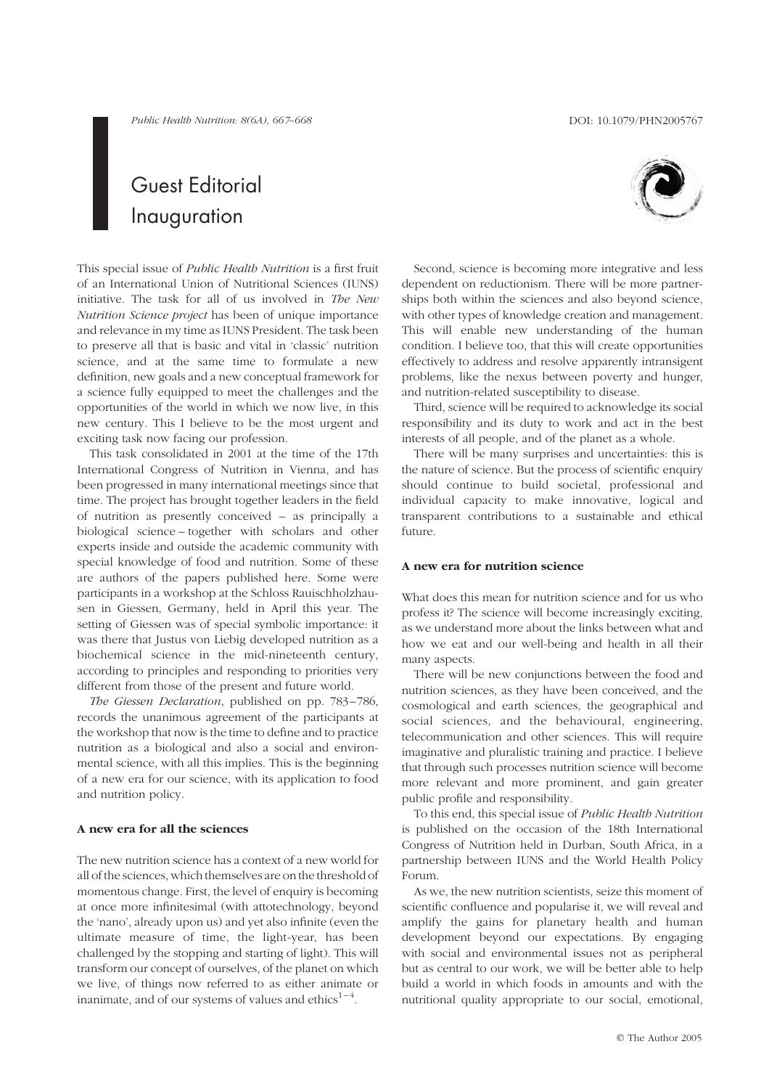## Guest Editorial Inauguration

This special issue of *Public Health Nutrition* is a first fruit of an International Union of Nutritional Sciences (IUNS) initiative. The task for all of us involved in The New Nutrition Science project has been of unique importance and relevance in my time as IUNS President. The task been to preserve all that is basic and vital in 'classic' nutrition science, and at the same time to formulate a new definition, new goals and a new conceptual framework for a science fully equipped to meet the challenges and the opportunities of the world in which we now live, in this new century. This I believe to be the most urgent and exciting task now facing our profession.

This task consolidated in 2001 at the time of the 17th International Congress of Nutrition in Vienna, and has been progressed in many international meetings since that time. The project has brought together leaders in the field of nutrition as presently conceived – as principally a biological science – together with scholars and other experts inside and outside the academic community with special knowledge of food and nutrition. Some of these are authors of the papers published here. Some were participants in a workshop at the Schloss Rauischholzhausen in Giessen, Germany, held in April this year. The setting of Giessen was of special symbolic importance: it was there that Justus von Liebig developed nutrition as a biochemical science in the mid-nineteenth century, according to principles and responding to priorities very different from those of the present and future world.

The Giessen Declaration, published on pp. 783–786, records the unanimous agreement of the participants at the workshop that now is the time to define and to practice nutrition as a biological and also a social and environmental science, with all this implies. This is the beginning of a new era for our science, with its application to food and nutrition policy.

## A new era for all the sciences

The new nutrition science has a context of a new world for all of the sciences, which themselves are on the threshold of momentous change. First, the level of enquiry is becoming at once more infinitesimal (with attotechnology, beyond the 'nano', already upon us) and yet also infinite (even the ultimate measure of time, the light-year, has been challenged by the stopping and starting of light). This will transform our concept of ourselves, of the planet on which we live, of things now referred to as either animate or inanimate, and of our systems of values and ethics $1-4$ .



Second, science is becoming more integrative and less dependent on reductionism. There will be more partnerships both within the sciences and also beyond science, with other types of knowledge creation and management. This will enable new understanding of the human condition. I believe too, that this will create opportunities effectively to address and resolve apparently intransigent problems, like the nexus between poverty and hunger, and nutrition-related susceptibility to disease.

Third, science will be required to acknowledge its social responsibility and its duty to work and act in the best interests of all people, and of the planet as a whole.

There will be many surprises and uncertainties: this is the nature of science. But the process of scientific enquiry should continue to build societal, professional and individual capacity to make innovative, logical and transparent contributions to a sustainable and ethical future.

## A new era for nutrition science

What does this mean for nutrition science and for us who profess it? The science will become increasingly exciting, as we understand more about the links between what and how we eat and our well-being and health in all their many aspects.

There will be new conjunctions between the food and nutrition sciences, as they have been conceived, and the cosmological and earth sciences, the geographical and social sciences, and the behavioural, engineering, telecommunication and other sciences. This will require imaginative and pluralistic training and practice. I believe that through such processes nutrition science will become more relevant and more prominent, and gain greater public profile and responsibility.

To this end, this special issue of Public Health Nutrition is published on the occasion of the 18th International Congress of Nutrition held in Durban, South Africa, in a partnership between IUNS and the World Health Policy Forum.

As we, the new nutrition scientists, seize this moment of scientific confluence and popularise it, we will reveal and amplify the gains for planetary health and human development beyond our expectations. By engaging with social and environmental issues not as peripheral but as central to our work, we will be better able to help build a world in which foods in amounts and with the nutritional quality appropriate to our social, emotional,